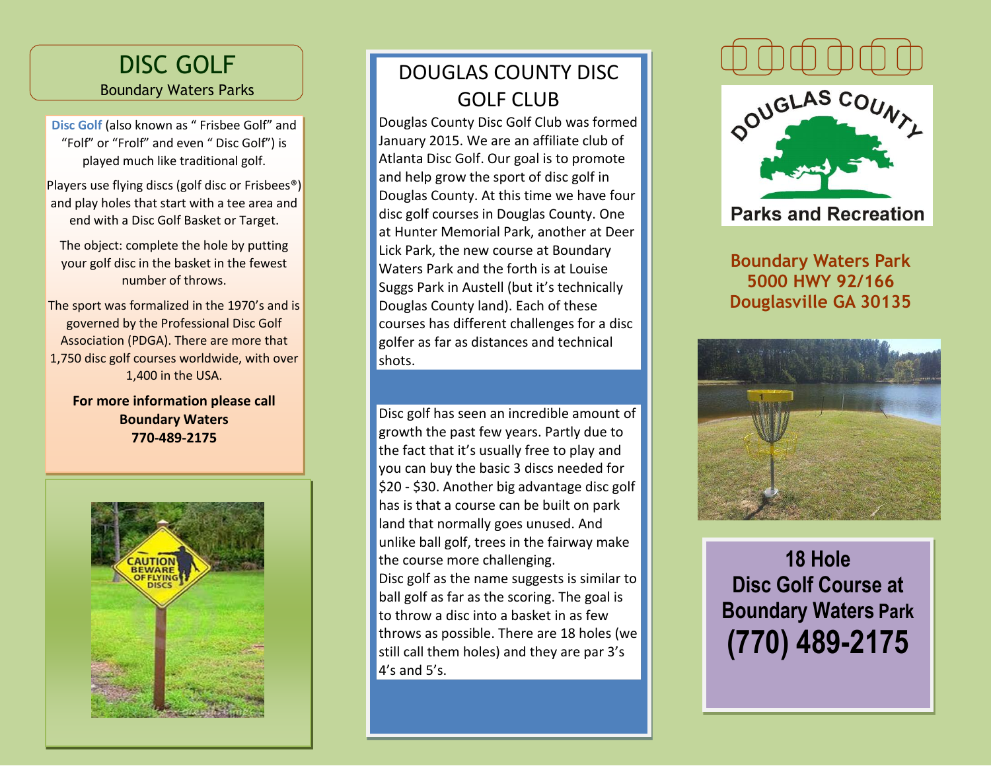## DISC GOLF Boundary Waters Parks

**Disc Golf** (also known as " Frisbee Golf" and "Folf" or "Frolf" and even " Disc Golf") is played much like traditional golf.

Players use flying discs (golf disc or Frisbees®) and play holes that start with a tee area and end with a Disc Golf Basket or Target.

The object: complete the hole by putting your golf disc in the basket in the fewest number of throws.

The sport was formalized in the 1970's and is governed by the Professional Disc Golf Association (PDGA). There are more that 1,750 disc golf courses worldwide, with over 1,400 in the USA.

**For more information please call Boundary Waters 770-489-2175**



## DOUGLAS COUNTY DISC GOLF CLUB

Douglas County Disc Golf Club was formed January 2015. We are an affiliate club of Atlanta Disc Golf. Our goal is to promote and help grow the sport of disc golf in Douglas County. At this time we have four disc golf courses in Douglas County. One at Hunter Memorial Park, another at Deer Lick Park, the new course at Boundary Waters Park and the forth is at Louise Suggs Park in Austell (but it's technically Douglas County land). Each of these courses has different challenges for a disc golfer as far as distances and technical shots.

 throws as possible. There are 18 holes (we Disc golf has seen an incredible amount of growth the past few years. Partly due to the fact that it's usually free to play and you can buy the basic 3 discs needed for \$20 - \$30. Another big advantage disc golf has is that a course can be built on park land that normally goes unused. And unlike ball golf, trees in the fairway make the course more challenging. Disc golf as the name suggests is similar to ball golf as far as the scoring. The goal is to throw a disc into a basket in as few still call them holes) and they are par 3's  $4's$  and 5's.





**Parks and Recreation** 

**Boundary Waters Park 5000 HWY 92/166 Douglasville GA 30135**



**18 Hole Disc Golf Course at Boundary Waters Park (770) 489-2175**